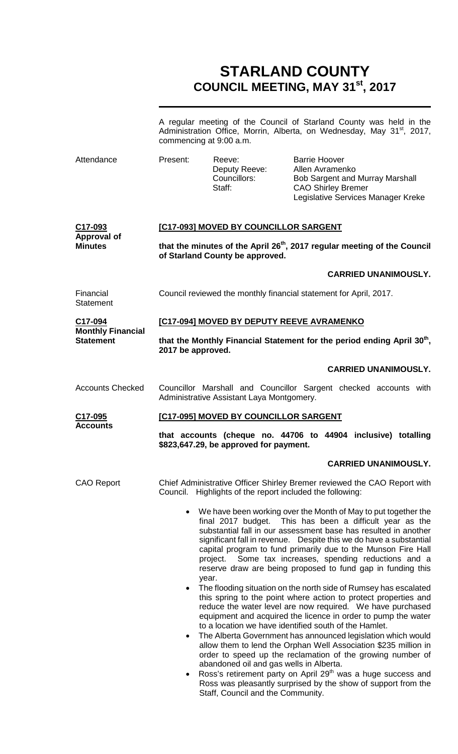# **STARLAND COUNTY COUNCIL MEETING, MAY 31st, 2017**

|                                     |                                                                                                                         | commencing at 9:00 a.m.                                                      | A regular meeting of the Council of Starland County was held in the<br>Administration Office, Morrin, Alberta, on Wednesday, May 31 <sup>st</sup> , 2017,                                                                                                                                                                                                                                                                                                                                                                                                                                                                                                                 |  |  |
|-------------------------------------|-------------------------------------------------------------------------------------------------------------------------|------------------------------------------------------------------------------|---------------------------------------------------------------------------------------------------------------------------------------------------------------------------------------------------------------------------------------------------------------------------------------------------------------------------------------------------------------------------------------------------------------------------------------------------------------------------------------------------------------------------------------------------------------------------------------------------------------------------------------------------------------------------|--|--|
| Attendance                          | Present:                                                                                                                | Reeve:<br>Deputy Reeve:<br>Councillors:<br>Staff:                            | <b>Barrie Hoover</b><br>Allen Avramenko<br>Bob Sargent and Murray Marshall<br><b>CAO Shirley Bremer</b><br>Legislative Services Manager Kreke                                                                                                                                                                                                                                                                                                                                                                                                                                                                                                                             |  |  |
| C17-093<br><b>Approval of</b>       |                                                                                                                         | [C17-093] MOVED BY COUNCILLOR SARGENT                                        |                                                                                                                                                                                                                                                                                                                                                                                                                                                                                                                                                                                                                                                                           |  |  |
| <b>Minutes</b>                      | that the minutes of the April 26 <sup>th</sup> , 2017 regular meeting of the Council<br>of Starland County be approved. |                                                                              |                                                                                                                                                                                                                                                                                                                                                                                                                                                                                                                                                                                                                                                                           |  |  |
|                                     |                                                                                                                         |                                                                              | <b>CARRIED UNANIMOUSLY.</b>                                                                                                                                                                                                                                                                                                                                                                                                                                                                                                                                                                                                                                               |  |  |
| Financial<br><b>Statement</b>       | Council reviewed the monthly financial statement for April, 2017.                                                       |                                                                              |                                                                                                                                                                                                                                                                                                                                                                                                                                                                                                                                                                                                                                                                           |  |  |
| C17-094<br><b>Monthly Financial</b> |                                                                                                                         |                                                                              | [C17-094] MOVED BY DEPUTY REEVE AVRAMENKO                                                                                                                                                                                                                                                                                                                                                                                                                                                                                                                                                                                                                                 |  |  |
| <b>Statement</b>                    | that the Monthly Financial Statement for the period ending April 30 <sup>th</sup> ,<br>2017 be approved.                |                                                                              |                                                                                                                                                                                                                                                                                                                                                                                                                                                                                                                                                                                                                                                                           |  |  |
|                                     |                                                                                                                         |                                                                              | <b>CARRIED UNANIMOUSLY.</b>                                                                                                                                                                                                                                                                                                                                                                                                                                                                                                                                                                                                                                               |  |  |
| <b>Accounts Checked</b>             |                                                                                                                         | Administrative Assistant Laya Montgomery.                                    | Councillor Marshall and Councillor Sargent checked accounts with                                                                                                                                                                                                                                                                                                                                                                                                                                                                                                                                                                                                          |  |  |
| C17-095<br><b>Accounts</b>          | [C17-095] MOVED BY COUNCILLOR SARGENT                                                                                   |                                                                              |                                                                                                                                                                                                                                                                                                                                                                                                                                                                                                                                                                                                                                                                           |  |  |
|                                     | that accounts (cheque no. 44706 to 44904 inclusive) totalling<br>\$823,647.29, be approved for payment.                 |                                                                              |                                                                                                                                                                                                                                                                                                                                                                                                                                                                                                                                                                                                                                                                           |  |  |
|                                     |                                                                                                                         |                                                                              | <b>CARRIED UNANIMOUSLY.</b>                                                                                                                                                                                                                                                                                                                                                                                                                                                                                                                                                                                                                                               |  |  |
| <b>CAO Report</b>                   |                                                                                                                         | Council. Highlights of the report included the following:                    | Chief Administrative Officer Shirley Bremer reviewed the CAO Report with                                                                                                                                                                                                                                                                                                                                                                                                                                                                                                                                                                                                  |  |  |
|                                     |                                                                                                                         | project.<br>year.                                                            | We have been working over the Month of May to put together the<br>final 2017 budget. This has been a difficult year as the<br>substantial fall in our assessment base has resulted in another<br>significant fall in revenue. Despite this we do have a substantial<br>capital program to fund primarily due to the Munson Fire Hall<br>Some tax increases, spending reductions and a<br>reserve draw are being proposed to fund gap in funding this                                                                                                                                                                                                                      |  |  |
|                                     | $\bullet$<br>$\bullet$                                                                                                  | abandoned oil and gas wells in Alberta.<br>Staff, Council and the Community. | The flooding situation on the north side of Rumsey has escalated<br>this spring to the point where action to protect properties and<br>reduce the water level are now required. We have purchased<br>equipment and acquired the licence in order to pump the water<br>to a location we have identified south of the Hamlet.<br>The Alberta Government has announced legislation which would<br>allow them to lend the Orphan Well Association \$235 million in<br>order to speed up the reclamation of the growing number of<br>Ross's retirement party on April 29 <sup>th</sup> was a huge success and<br>Ross was pleasantly surprised by the show of support from the |  |  |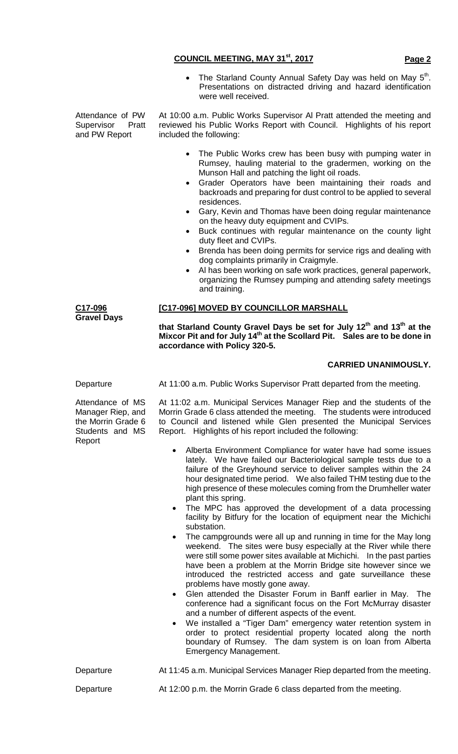• The Starland County Annual Safety Day was held on May  $5<sup>th</sup>$ . Presentations on distracted driving and hazard identification were well received.

Attendance of PW Supervisor Pratt and PW Report

At 10:00 a.m. Public Works Supervisor Al Pratt attended the meeting and reviewed his Public Works Report with Council. Highlights of his report included the following:

- The Public Works crew has been busy with pumping water in Rumsey, hauling material to the gradermen, working on the Munson Hall and patching the light oil roads.
- Grader Operators have been maintaining their roads and backroads and preparing for dust control to be applied to several residences.
- Gary, Kevin and Thomas have been doing regular maintenance on the heavy duty equipment and CVIPs.
- Buck continues with regular maintenance on the county light duty fleet and CVIPs.
- Brenda has been doing permits for service rigs and dealing with dog complaints primarily in Craigmyle.
- Al has been working on safe work practices, general paperwork, organizing the Rumsey pumping and attending safety meetings and training.

## **[C17-096] MOVED BY COUNCILLOR MARSHALL**

**that Starland County Gravel Days be set for July 12th and 13th at the Mixcor Pit and for July 14th at the Scollard Pit. Sales are to be done in accordance with Policy 320-5.**

# **CARRIED UNANIMOUSLY.**

**C17-096 Gravel Days**

Attendance of MS Manager Riep, and the Morrin Grade 6 Students and MS Report

Departure **At 11:00 a.m. Public Works Supervisor Pratt departed from the meeting.** 

At 11:02 a.m. Municipal Services Manager Riep and the students of the Morrin Grade 6 class attended the meeting. The students were introduced to Council and listened while Glen presented the Municipal Services Report. Highlights of his report included the following:

- Alberta Environment Compliance for water have had some issues lately. We have failed our Bacteriological sample tests due to a failure of the Greyhound service to deliver samples within the 24 hour designated time period. We also failed THM testing due to the high presence of these molecules coming from the Drumheller water plant this spring.
- The MPC has approved the development of a data processing facility by Bitfury for the location of equipment near the Michichi substation.
- The campgrounds were all up and running in time for the May long weekend. The sites were busy especially at the River while there were still some power sites available at Michichi. In the past parties have been a problem at the Morrin Bridge site however since we introduced the restricted access and gate surveillance these problems have mostly gone away.
- Glen attended the Disaster Forum in Banff earlier in May. The conference had a significant focus on the Fort McMurray disaster and a number of different aspects of the event.
- We installed a "Tiger Dam" emergency water retention system in order to protect residential property located along the north boundary of Rumsey. The dam system is on loan from Alberta Emergency Management.

Departure **At 11:45 a.m. Municipal Services Manager Riep departed from the meeting.** 

Departure At 12:00 p.m. the Morrin Grade 6 class departed from the meeting.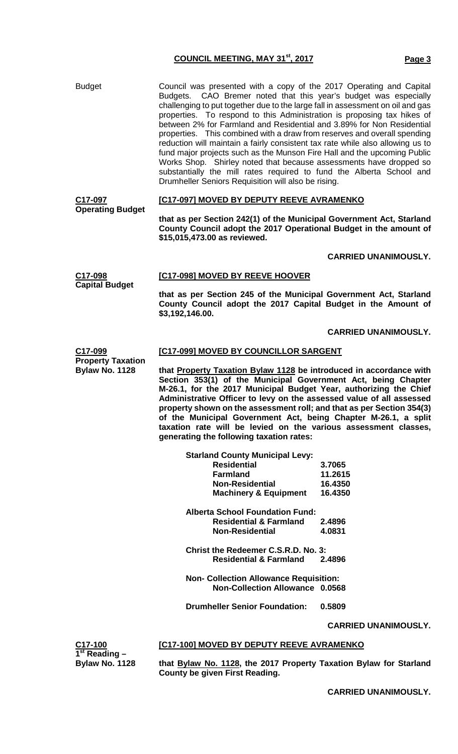Budget Council was presented with a copy of the 2017 Operating and Capital Budgets. CAO Bremer noted that this year's budget was especially challenging to put together due to the large fall in assessment on oil and gas properties. To respond to this Administration is proposing tax hikes of between 2% for Farmland and Residential and 3.89% for Non Residential properties. This combined with a draw from reserves and overall spending reduction will maintain a fairly consistent tax rate while also allowing us to fund major projects such as the Munson Fire Hall and the upcoming Public Works Shop. Shirley noted that because assessments have dropped so substantially the mill rates required to fund the Alberta School and Drumheller Seniors Requisition will also be rising.

### **C17-097 Operating Budget [C17-097] MOVED BY DEPUTY REEVE AVRAMENKO**

**that as per Section 242(1) of the Municipal Government Act, Starland County Council adopt the 2017 Operational Budget in the amount of \$15,015,473.00 as reviewed.**

## **CARRIED UNANIMOUSLY.**

**C17-098 Capital Budget [C17-098] MOVED BY REEVE HOOVER that as per Section 245 of the Municipal Government Act, Starland County Council adopt the 2017 Capital Budget in the Amount of \$3,192,146.00.**

## **CARRIED UNANIMOUSLY.**

### **C17-099 [C17-099] MOVED BY COUNCILLOR SARGENT**

**that Property Taxation Bylaw 1128 be introduced in accordance with Section 353(1) of the Municipal Government Act, being Chapter M-26.1, for the 2017 Municipal Budget Year, authorizing the Chief Administrative Officer to levy on the assessed value of all assessed property shown on the assessment roll; and that as per Section 354(3) of the Municipal Government Act, being Chapter M-26.1, a split taxation rate will be levied on the various assessment classes, generating the following taxation rates:**

| <b>Starland County Municipal Levy:</b>        |                             |
|-----------------------------------------------|-----------------------------|
| <b>Residential</b>                            | 3.7065                      |
| <b>Farmland</b>                               | 11.2615                     |
| <b>Non-Residential</b>                        | 16.4350                     |
| <b>Machinery &amp; Equipment</b>              | 16.4350                     |
| <b>Alberta School Foundation Fund:</b>        |                             |
| <b>Residential &amp; Farmland</b>             | 2.4896                      |
| <b>Non-Residential</b>                        | 4.0831                      |
| Christ the Redeemer C.S.R.D. No. 3:           |                             |
| <b>Residential &amp; Farmland</b>             | 2.4896                      |
| <b>Non- Collection Allowance Requisition:</b> |                             |
| Non-Collection Allowance 0.0568               |                             |
| <b>Drumheller Senior Foundation:</b>          | 0.5809                      |
|                                               | <b>CARRIED UNANIMOUSLY.</b> |

**[C17-100] MOVED BY DEPUTY REEVE AVRAMENKO**

**C17-100 1st Reading – Bylaw No. 1128**

**Property Taxation Bylaw No. 1128**

> **that Bylaw No. 1128, the 2017 Property Taxation Bylaw for Starland County be given First Reading.**

> > **CARRIED UNANIMOUSLY.**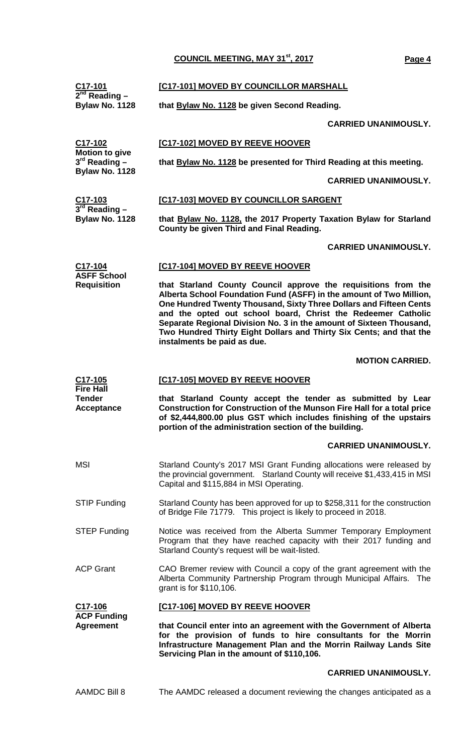| $\frac{\text{C17-101}}{2^{nd}}$ Reading -                    | [C17-101] MOVED BY COUNCILLOR MARSHALL                                                                                                                                                                                                                                                                                                                                                                                                                   |  |  |
|--------------------------------------------------------------|----------------------------------------------------------------------------------------------------------------------------------------------------------------------------------------------------------------------------------------------------------------------------------------------------------------------------------------------------------------------------------------------------------------------------------------------------------|--|--|
| Bylaw No. 1128                                               | that Bylaw No. 1128 be given Second Reading.                                                                                                                                                                                                                                                                                                                                                                                                             |  |  |
|                                                              | <b>CARRIED UNANIMOUSLY.</b>                                                                                                                                                                                                                                                                                                                                                                                                                              |  |  |
| C17-102                                                      | <b>[C17-102] MOVED BY REEVE HOOVER</b>                                                                                                                                                                                                                                                                                                                                                                                                                   |  |  |
| <b>Motion to give</b><br>$3rd$ Reading $-$<br>Bylaw No. 1128 | that Bylaw No. 1128 be presented for Third Reading at this meeting.                                                                                                                                                                                                                                                                                                                                                                                      |  |  |
|                                                              | <b>CARRIED UNANIMOUSLY.</b>                                                                                                                                                                                                                                                                                                                                                                                                                              |  |  |
| C17-103<br>$3rd$ Reading -                                   | [C17-103] MOVED BY COUNCILLOR SARGENT                                                                                                                                                                                                                                                                                                                                                                                                                    |  |  |
| Bylaw No. 1128                                               | that Bylaw No. 1128, the 2017 Property Taxation Bylaw for Starland<br>County be given Third and Final Reading.                                                                                                                                                                                                                                                                                                                                           |  |  |
|                                                              | <b>CARRIED UNANIMOUSLY.</b>                                                                                                                                                                                                                                                                                                                                                                                                                              |  |  |
| C17-104                                                      | [C17-104] MOVED BY REEVE HOOVER                                                                                                                                                                                                                                                                                                                                                                                                                          |  |  |
| <b>ASFF School</b><br><b>Requisition</b>                     | that Starland County Council approve the requisitions from the<br>Alberta School Foundation Fund (ASFF) in the amount of Two Million,<br>One Hundred Twenty Thousand, Sixty Three Dollars and Fifteen Cents<br>and the opted out school board, Christ the Redeemer Catholic<br>Separate Regional Division No. 3 in the amount of Sixteen Thousand,<br>Two Hundred Thirty Eight Dollars and Thirty Six Cents; and that the<br>instalments be paid as due. |  |  |
|                                                              | <b>MOTION CARRIED.</b>                                                                                                                                                                                                                                                                                                                                                                                                                                   |  |  |
| C <sub>17</sub> -105                                         | [C17-105] MOVED BY REEVE HOOVER                                                                                                                                                                                                                                                                                                                                                                                                                          |  |  |
| <b>Fire Hall</b><br><b>Tender</b><br><b>Acceptance</b>       | that Starland County accept the tender as submitted by Lear<br>Construction for Construction of the Munson Fire Hall for a total price<br>of \$2,444,800.00 plus GST which includes finishing of the upstairs<br>portion of the administration section of the building.                                                                                                                                                                                  |  |  |
|                                                              | <b>CARRIED UNANIMOUSLY.</b>                                                                                                                                                                                                                                                                                                                                                                                                                              |  |  |
| <b>MSI</b>                                                   | Starland County's 2017 MSI Grant Funding allocations were released by<br>the provincial government. Starland County will receive \$1,433,415 in MSI<br>Capital and \$115,884 in MSI Operating.                                                                                                                                                                                                                                                           |  |  |
| <b>STIP Funding</b>                                          | Starland County has been approved for up to \$258,311 for the construction<br>of Bridge File 71779. This project is likely to proceed in 2018.                                                                                                                                                                                                                                                                                                           |  |  |
| <b>STEP Funding</b>                                          | Notice was received from the Alberta Summer Temporary Employment<br>Program that they have reached capacity with their 2017 funding and<br>Starland County's request will be wait-listed.                                                                                                                                                                                                                                                                |  |  |
| <b>ACP Grant</b>                                             | CAO Bremer review with Council a copy of the grant agreement with the<br>Alberta Community Partnership Program through Municipal Affairs. The<br>grant is for \$110,106.                                                                                                                                                                                                                                                                                 |  |  |
| C17-106                                                      | [C17-106] MOVED BY REEVE HOOVER                                                                                                                                                                                                                                                                                                                                                                                                                          |  |  |
| <b>ACP Funding</b>                                           |                                                                                                                                                                                                                                                                                                                                                                                                                                                          |  |  |
| <b>Agreement</b>                                             | that Council enter into an agreement with the Government of Alberta<br>for the provision of funds to hire consultants for the Morrin<br>Infrastructure Management Plan and the Morrin Railway Lands Site<br>Servicing Plan in the amount of \$110,106.                                                                                                                                                                                                   |  |  |

AAMDC Bill 8 The AAMDC released a document reviewing the changes anticipated as a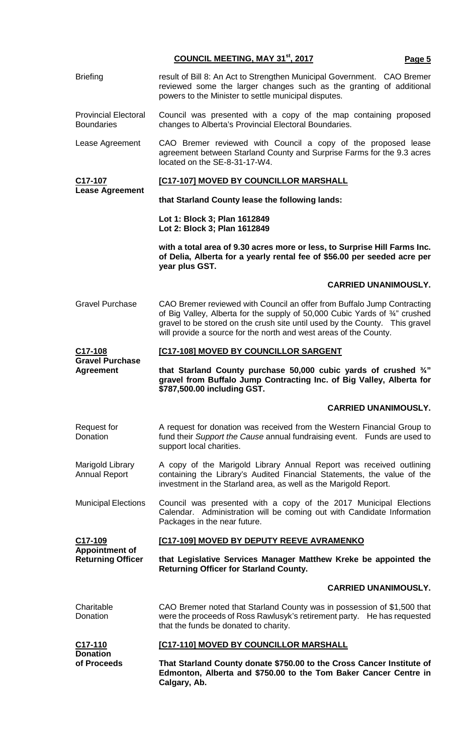Briefing **result of Bill 8: An Act to Strengthen Municipal Government. CAO Bremer** reviewed some the larger changes such as the granting of additional powers to the Minister to settle municipal disputes. Provincial Electoral **Boundaries** Council was presented with a copy of the map containing proposed changes to Alberta's Provincial Electoral Boundaries. Lease Agreement CAO Bremer reviewed with Council a copy of the proposed lease agreement between Starland County and Surprise Farms for the 9.3 acres located on the SE-8-31-17-W4. **C17-107 Lease Agreement [C17-107] MOVED BY COUNCILLOR MARSHALL that Starland County lease the following lands: Lot 1: Block 3; Plan 1612849 Lot 2: Block 3; Plan 1612849 with a total area of 9.30 acres more or less, to Surprise Hill Farms Inc. of Delia, Alberta for a yearly rental fee of \$56.00 per seeded acre per year plus GST. CARRIED UNANIMOUSLY.** Gravel Purchase CAO Bremer reviewed with Council an offer from Buffalo Jump Contracting of Big Valley, Alberta for the supply of 50,000 Cubic Yards of ¾" crushed gravel to be stored on the crush site until used by the County. This gravel will provide a source for the north and west areas of the County. **C17-108 Gravel Purchase Agreement [C17-108] MOVED BY COUNCILLOR SARGENT that Starland County purchase 50,000 cubic yards of crushed ¾" gravel from Buffalo Jump Contracting Inc. of Big Valley, Alberta for \$787,500.00 including GST. CARRIED UNANIMOUSLY.** Request for **Donation** A request for donation was received from the Western Financial Group to fund their *Support the Cause* annual fundraising event. Funds are used to support local charities. Marigold Library Annual Report A copy of the Marigold Library Annual Report was received outlining containing the Library's Audited Financial Statements, the value of the investment in the Starland area, as well as the Marigold Report. Municipal Elections Council was presented with a copy of the 2017 Municipal Elections Calendar. Administration will be coming out with Candidate Information Packages in the near future. **C17-109 Appointment of Returning Officer [C17-109] MOVED BY DEPUTY REEVE AVRAMENKO that Legislative Services Manager Matthew Kreke be appointed the Returning Officer for Starland County. CARRIED UNANIMOUSLY.** Charitable **Donation** CAO Bremer noted that Starland County was in possession of \$1,500 that were the proceeds of Ross Rawlusyk's retirement party. He has requested that the funds be donated to charity. **C17-110 Donation of Proceeds [C17-110] MOVED BY COUNCILLOR MARSHALL That Starland County donate \$750.00 to the Cross Cancer Institute of Edmonton, Alberta and \$750.00 to the Tom Baker Cancer Centre in Calgary, Ab.**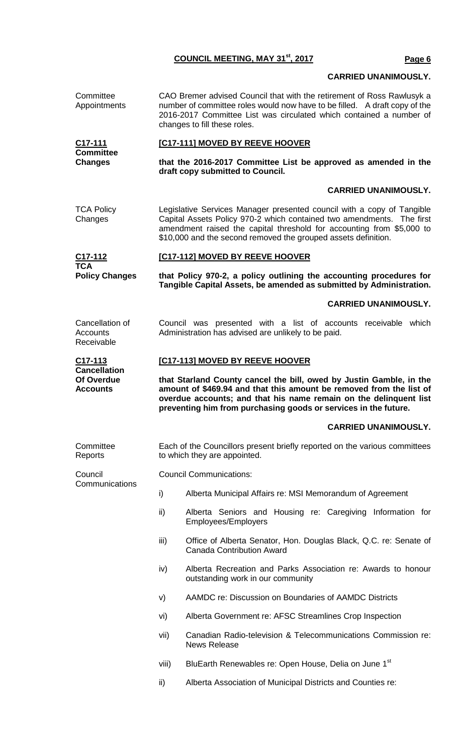# **CARRIED UNANIMOUSLY.**

**Committee** Appointments CAO Bremer advised Council that with the retirement of Ross Rawlusyk a number of committee roles would now have to be filled. A draft copy of the 2016-2017 Committee List was circulated which contained a number of changes to fill these roles. **C17-111 Committee Changes [C17-111] MOVED BY REEVE HOOVER that the 2016-2017 Committee List be approved as amended in the draft copy submitted to Council. CARRIED UNANIMOUSLY.** TCA Policy Changes Legislative Services Manager presented council with a copy of Tangible Capital Assets Policy 970-2 which contained two amendments. The first amendment raised the capital threshold for accounting from \$5,000 to \$10,000 and the second removed the grouped assets definition. **C17-112 TCA Policy Changes [C17-112] MOVED BY REEVE HOOVER that Policy 970-2, a policy outlining the accounting procedures for Tangible Capital Assets, be amended as submitted by Administration. CARRIED UNANIMOUSLY.** Cancellation of **Accounts** Receivable Council was presented with a list of accounts receivable which Administration has advised are unlikely to be paid. **C17-113 Cancellation Of Overdue Accounts [C17-113] MOVED BY REEVE HOOVER that Starland County cancel the bill, owed by Justin Gamble, in the amount of \$469.94 and that this amount be removed from the list of overdue accounts; and that his name remain on the delinquent list preventing him from purchasing goods or services in the future. CARRIED UNANIMOUSLY. Committee** Reports Each of the Councillors present briefly reported on the various committees to which they are appointed. Council Communications Council Communications: i) Alberta Municipal Affairs re: MSI Memorandum of Agreement ii) Alberta Seniors and Housing re: Caregiving Information for Employees/Employers iii) Office of Alberta Senator, Hon. Douglas Black, Q.C. re: Senate of Canada Contribution Award iv) Alberta Recreation and Parks Association re: Awards to honour outstanding work in our community v) AAMDC re: Discussion on Boundaries of AAMDC Districts vi) Alberta Government re: AFSC Streamlines Crop Inspection vii) Canadian Radio-television & Telecommunications Commission re: News Release viii) BluEarth Renewables re: Open House, Delia on June 1<sup>st</sup> ii) Alberta Association of Municipal Districts and Counties re: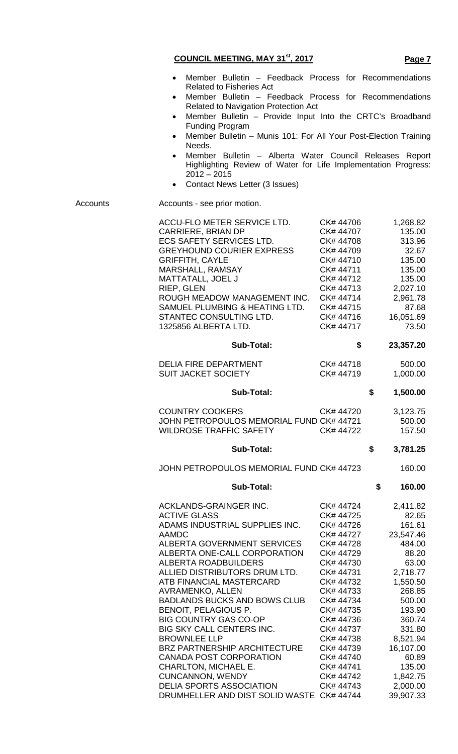| <b>COUNCIL MEETING, MAY 31st, 2017</b> | Page 7 |
|----------------------------------------|--------|
|                                        |        |

- Member Bulletin Feedback Process for Recommendations Related to Fisheries Act
- Member Bulletin Feedback Process for Recommendations Related to Navigation Protection Act
- Member Bulletin Provide Input Into the CRTC's Broadband Funding Program
- Member Bulletin Munis 101: For All Your Post-Election Training Needs.
- Member Bulletin Alberta Water Council Releases Report Highlighting Review of Water for Life Implementation Progress:  $2012 - 2015$
- Contact News Letter (3 Issues)

Accounts **Accounts** - see prior motion.

| ACCU-FLO METER SERVICE LTD.<br>CARRIERE, BRIAN DP<br><b>ECS SAFETY SERVICES LTD.</b><br><b>GREYHOUND COURIER EXPRESS</b><br><b>GRIFFITH, CAYLE</b><br>MARSHALL, RAMSAY<br>MATTATALL, JOEL J<br>RIEP, GLEN<br>ROUGH MEADOW MANAGEMENT INC.<br>SAMUEL PLUMBING & HEATING LTD.<br>STANTEC CONSULTING LTD.<br>1325856 ALBERTA LTD.<br><b>Sub-Total:</b>                                                                                                                                                                                                                                                            | CK# 44706<br>CK# 44707<br>CK# 44708<br>CK# 44709<br>CK#44710<br>CK# 44711<br>CK# 44712<br>CK# 44713<br>CK#44714<br>CK# 44715<br>CK# 44716<br>CK# 44717<br>\$                                                                                                   | 1,268.82<br>135.00<br>313.96<br>32.67<br>135.00<br>135.00<br>135.00<br>2,027.10<br>2,961.78<br>87.68<br>16,051.69<br>73.50<br>23,357.20                                                                            |
|----------------------------------------------------------------------------------------------------------------------------------------------------------------------------------------------------------------------------------------------------------------------------------------------------------------------------------------------------------------------------------------------------------------------------------------------------------------------------------------------------------------------------------------------------------------------------------------------------------------|----------------------------------------------------------------------------------------------------------------------------------------------------------------------------------------------------------------------------------------------------------------|--------------------------------------------------------------------------------------------------------------------------------------------------------------------------------------------------------------------|
| <b>DELIA FIRE DEPARTMENT</b><br><b>SUIT JACKET SOCIETY</b>                                                                                                                                                                                                                                                                                                                                                                                                                                                                                                                                                     | CK# 44718<br>CK#44719                                                                                                                                                                                                                                          | 500.00<br>1,000.00                                                                                                                                                                                                 |
| <b>Sub-Total:</b>                                                                                                                                                                                                                                                                                                                                                                                                                                                                                                                                                                                              |                                                                                                                                                                                                                                                                | \$<br>1,500.00                                                                                                                                                                                                     |
| <b>COUNTRY COOKERS</b><br>JOHN PETROPOULOS MEMORIAL FUND CK# 44721<br>WILDROSE TRAFFIC SAFETY                                                                                                                                                                                                                                                                                                                                                                                                                                                                                                                  | CK#44720<br>CK# 44722                                                                                                                                                                                                                                          | 3,123.75<br>500.00<br>157.50                                                                                                                                                                                       |
| <b>Sub-Total:</b>                                                                                                                                                                                                                                                                                                                                                                                                                                                                                                                                                                                              |                                                                                                                                                                                                                                                                | \$<br>3,781.25                                                                                                                                                                                                     |
| JOHN PETROPOULOS MEMORIAL FUND CK# 44723                                                                                                                                                                                                                                                                                                                                                                                                                                                                                                                                                                       |                                                                                                                                                                                                                                                                | 160.00                                                                                                                                                                                                             |
|                                                                                                                                                                                                                                                                                                                                                                                                                                                                                                                                                                                                                |                                                                                                                                                                                                                                                                |                                                                                                                                                                                                                    |
| <b>Sub-Total:</b>                                                                                                                                                                                                                                                                                                                                                                                                                                                                                                                                                                                              |                                                                                                                                                                                                                                                                | \$<br>160.00                                                                                                                                                                                                       |
| ACKLANDS-GRAINGER INC.<br><b>ACTIVE GLASS</b><br>ADAMS INDUSTRIAL SUPPLIES INC.<br><b>AAMDC</b><br><b>ALBERTA GOVERNMENT SERVICES</b><br>ALBERTA ONE-CALL CORPORATION<br><b>ALBERTA ROADBUILDERS</b><br>ALLIED DISTRIBUTORS DRUM LTD.<br>ATB FINANCIAL MASTERCARD<br><b>AVRAMENKO, ALLEN</b><br><b>BADLANDS BUCKS AND BOWS CLUB</b><br>BENOIT, PELAGIOUS P.<br><b>BIG COUNTRY GAS CO-OP</b><br><b>BIG SKY CALL CENTERS INC.</b><br><b>BROWNLEE LLP</b><br>BRZ PARTNERSHIP ARCHITECTURE<br><b>CANADA POST CORPORATION</b><br>CHARLTON, MICHAEL E.<br><b>CUNCANNON, WENDY</b><br><b>DELIA SPORTS ASSOCIATION</b> | CK#44724<br>CK# 44725<br>CK# 44726<br>CK# 44727<br>CK# 44728<br>CK# 44729<br>CK# 44730<br>CK# 44731<br>CK# 44732<br>CK#44733<br>CK# 44734<br>CK# 44735<br>CK# 44736<br>CK# 44737<br>CK# 44738<br>CK# 44739<br>CK# 44740<br>CK# 44741<br>CK# 44742<br>CK# 44743 | 2,411.82<br>82.65<br>161.61<br>23,547.46<br>484.00<br>88.20<br>63.00<br>2,718.77<br>1,550.50<br>268.85<br>500.00<br>193.90<br>360.74<br>331.80<br>8,521.94<br>16,107.00<br>60.89<br>135.00<br>1,842.75<br>2,000.00 |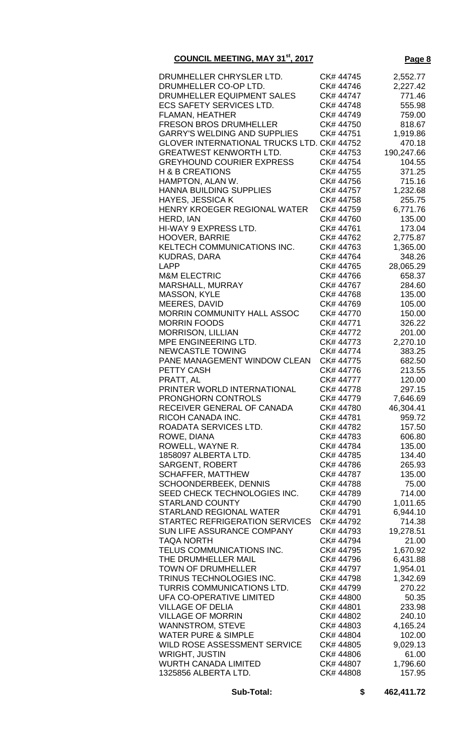| DRUMHELLER CHRYSLER LTD.                          | CK# 44745 | 2,552.77   |
|---------------------------------------------------|-----------|------------|
| DRUMHELLER CO-OP LTD.                             | CK# 44746 |            |
|                                                   |           | 2,227.42   |
| DRUMHELLER EQUIPMENT SALES                        | CK# 44747 | 771.46     |
| <b>ECS SAFETY SERVICES LTD.</b>                   | CK# 44748 | 555.98     |
| <b>FLAMAN, HEATHER</b>                            | CK# 44749 | 759.00     |
|                                                   |           |            |
| <b>FRESON BROS DRUMHELLER</b>                     | CK# 44750 | 818.67     |
| <b>GARRY'S WELDING AND SUPPLIES</b>               | CK# 44751 | 1,919.86   |
| <b>GLOVER INTERNATIONAL TRUCKS LTD. CK# 44752</b> |           | 470.18     |
| <b>GREATWEST KENWORTH LTD.</b>                    | CK#44753  |            |
|                                                   |           | 190,247.66 |
| <b>GREYHOUND COURIER EXPRESS</b>                  | CK# 44754 | 104.55     |
| <b>H &amp; B CREATIONS</b>                        | CK# 44755 | 371.25     |
| HAMPTON, ALAN W.                                  | CK# 44756 | 715.16     |
|                                                   |           |            |
| <b>HANNA BUILDING SUPPLIES</b>                    | CK# 44757 | 1,232.68   |
| <b>HAYES, JESSICA K</b>                           | CK# 44758 | 255.75     |
| HENRY KROEGER REGIONAL WATER                      | CK# 44759 | 6,771.76   |
| HERD, IAN                                         | CK# 44760 | 135.00     |
|                                                   |           |            |
| <b>HI-WAY 9 EXPRESS LTD.</b>                      | CK# 44761 | 173.04     |
| <b>HOOVER, BARRIE</b>                             | CK# 44762 | 2,775.87   |
| KELTECH COMMUNICATIONS INC.                       | CK# 44763 | 1,365.00   |
| <b>KUDRAS, DARA</b>                               | CK# 44764 | 348.26     |
|                                                   |           |            |
| <b>LAPP</b>                                       | CK# 44765 | 28,065.29  |
| <b>M&amp;M ELECTRIC</b>                           | CK# 44766 | 658.37     |
| MARSHALL, MURRAY                                  | CK# 44767 | 284.60     |
|                                                   |           |            |
| MASSON, KYLE                                      | CK# 44768 | 135.00     |
| MEERES, DAVID                                     | CK# 44769 | 105.00     |
| MORRIN COMMUNITY HALL ASSOC                       | CK# 44770 | 150.00     |
| <b>MORRIN FOODS</b>                               | CK# 44771 | 326.22     |
|                                                   |           |            |
| <b>MORRISON, LILLIAN</b>                          | CK# 44772 | 201.00     |
| MPE ENGINEERING LTD.                              | CK# 44773 | 2,270.10   |
| <b>NEWCASTLE TOWING</b>                           | CK# 44774 | 383.25     |
| PANE MANAGEMENT WINDOW CLEAN                      | CK# 44775 | 682.50     |
|                                                   |           |            |
| PETTY CASH                                        | CK#44776  | 213.55     |
| PRATT, AL                                         | CK# 44777 | 120.00     |
| PRINTER WORLD INTERNATIONAL                       | CK# 44778 | 297.15     |
| <b>PRONGHORN CONTROLS</b>                         | CK# 44779 | 7,646.69   |
|                                                   |           |            |
| RECEIVER GENERAL OF CANADA                        | CK# 44780 | 46,304.41  |
| RICOH CANADA INC.                                 | CK# 44781 | 959.72     |
| ROADATA SERVICES LTD.                             | CK# 44782 | 157.50     |
|                                                   |           |            |
| ROWE, DIANA                                       | CK# 44783 | 606.80     |
| ROWELL, WAYNE R.                                  | CK# 44784 | 135.00     |
| 1858097 ALBERTA LTD.                              | CK# 44785 | 134.40     |
| <b>SARGENT, ROBERT</b>                            | CK# 44786 | 265.93     |
|                                                   |           |            |
| <b>SCHAFFER, MATTHEW</b>                          | CK# 44787 | 135.00     |
| <b>SCHOONDERBEEK, DENNIS</b>                      | CK# 44788 | 75.00      |
| SEED CHECK TECHNOLOGIES INC.                      | CK# 44789 | 714.00     |
| <b>STARLAND COUNTY</b>                            | CK# 44790 | 1,011.65   |
|                                                   |           |            |
| <b>STARLAND REGIONAL WATER</b>                    | CK# 44791 | 6,944.10   |
| STARTEC REFRIGERATION SERVICES                    | CK# 44792 | 714.38     |
| SUN LIFE ASSURANCE COMPANY                        | CK# 44793 | 19,278.51  |
| <b>TAQA NORTH</b>                                 | CK# 44794 |            |
|                                                   |           | 21.00      |
| TELUS COMMUNICATIONS INC.                         | CK# 44795 | 1,670.92   |
| THE DRUMHELLER MAIL                               | CK# 44796 | 6,431.88   |
| <b>TOWN OF DRUMHELLER</b>                         | CK# 44797 | 1,954.01   |
|                                                   |           |            |
| TRINUS TECHNOLOGIES INC.                          | CK# 44798 | 1,342.69   |
| TURRIS COMMUNICATIONS LTD.                        | CK# 44799 | 270.22     |
| UFA CO-OPERATIVE LIMITED                          | CK# 44800 | 50.35      |
| <b>VILLAGE OF DELIA</b>                           | CK# 44801 | 233.98     |
|                                                   |           |            |
| <b>VILLAGE OF MORRIN</b>                          | CK# 44802 | 240.10     |
| <b>WANNSTROM, STEVE</b>                           | CK#44803  | 4,165.24   |
| <b>WATER PURE &amp; SIMPLE</b>                    | CK# 44804 | 102.00     |
| WILD ROSE ASSESSMENT SERVICE                      | CK# 44805 | 9,029.13   |
|                                                   |           |            |
| <b>WRIGHT, JUSTIN</b>                             | CK# 44806 | 61.00      |
| <b>WURTH CANADA LIMITED</b>                       | CK# 44807 | 1,796.60   |
| 1325856 ALBERTA LTD.                              | CK# 44808 | 157.95     |
|                                                   |           |            |

**Sub-Total: \$ 462,411.72**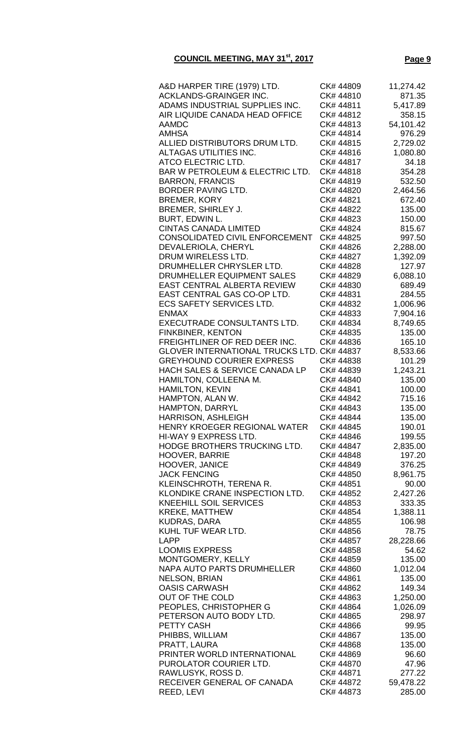| A&D HARPER TIRE (1979) LTD.                       | CK# 44809 | 11,274.42 |
|---------------------------------------------------|-----------|-----------|
| ACKLANDS-GRAINGER INC.                            | CK# 44810 | 871.35    |
| ADAMS INDUSTRIAL SUPPLIES INC.                    | CK# 44811 | 5,417.89  |
| AIR LIQUIDE CANADA HEAD OFFICE                    | CK# 44812 | 358.15    |
| AAMDC                                             | CK# 44813 | 54,101.42 |
| AMHSA                                             | CK# 44814 | 976.29    |
| ALLIED DISTRIBUTORS DRUM LTD.                     | CK# 44815 | 2,729.02  |
| ALTAGAS UTILITIES INC.                            | CK# 44816 | 1,080.80  |
| ATCO ELECTRIC LTD.                                | CK# 44817 | 34.18     |
| BAR W PETROLEUM & ELECTRIC LTD.                   | CK#44818  | 354.28    |
| <b>BARRON, FRANCIS</b>                            | CK# 44819 | 532.50    |
| BORDER PAVING LTD.                                | CK# 44820 | 2,464.56  |
| <b>BREMER, KORY</b>                               | CK# 44821 | 672.40    |
| BREMER, SHIRLEY J.                                | CK# 44822 | 135.00    |
| <b>BURT, EDWIN L.</b>                             | CK# 44823 | 150.00    |
| <b>CINTAS CANADA LIMITED</b>                      | CK# 44824 | 815.67    |
| CONSOLIDATED CIVIL ENFORCEMENT                    | CK# 44825 | 997.50    |
| DEVALERIOLA, CHERYL                               | CK# 44826 | 2,288.00  |
| DRUM WIRELESS LTD.                                | CK# 44827 | 1,392.09  |
| DRUMHELLER CHRYSLER LTD.                          | CK# 44828 | 127.97    |
| DRUMHELLER EQUIPMENT SALES                        | CK# 44829 |           |
| EAST CENTRAL ALBERTA REVIEW                       | CK# 44830 | 6,088.10  |
|                                                   |           | 689.49    |
| EAST CENTRAL GAS CO-OP LTD.                       | CK# 44831 | 284.55    |
| <b>ECS SAFETY SERVICES LTD.</b>                   | CK# 44832 | 1,006.96  |
| <b>ENMAX</b>                                      | CK# 44833 | 7,904.16  |
| EXECUTRADE CONSULTANTS LTD.                       | CK# 44834 | 8,749.65  |
| <b>FINKBINER, KENTON</b>                          | CK# 44835 | 135.00    |
| FREIGHTLINER OF RED DEER INC.                     | CK# 44836 | 165.10    |
| <b>GLOVER INTERNATIONAL TRUCKS LTD. CK# 44837</b> |           | 8,533.66  |
| <b>GREYHOUND COURIER EXPRESS</b>                  | CK# 44838 | 101.29    |
| <b>HACH SALES &amp; SERVICE CANADA LP</b>         | CK# 44839 | 1,243.21  |
| HAMILTON, COLLEENA M.                             | CK# 44840 | 135.00    |
| <b>HAMILTON, KEVIN</b>                            | CK# 44841 | 100.00    |
| HAMPTON, ALAN W.                                  | CK# 44842 | 715.16    |
| <b>HAMPTON, DARRYL</b>                            | CK# 44843 | 135.00    |
| HARRISON, ASHLEIGH                                | CK# 44844 | 135.00    |
| HENRY KROEGER REGIONAL WATER                      | CK# 44845 | 190.01    |
| HI-WAY 9 EXPRESS LTD.                             | CK# 44846 | 199.55    |
| HODGE BROTHERS TRUCKING LTD.                      | CK# 44847 | 2,835.00  |
| <b>HOOVER, BARRIE</b>                             | CK# 44848 | 197.20    |
| <b>HOOVER, JANICE</b>                             | CK# 44849 | 376.25    |
| <b>JACK FENCING</b>                               | CK# 44850 | 8,961.75  |
| KLEINSCHROTH, TERENA R.                           | CK# 44851 | 90.00     |
| KLONDIKE CRANE INSPECTION LTD.                    | CK# 44852 | 2,427.26  |
| KNEEHILL SOIL SERVICES                            | CK# 44853 | 333.35    |
| <b>KREKE, MATTHEW</b>                             | CK# 44854 | 1,388.11  |
| KUDRAS, DARA                                      | CK# 44855 | 106.98    |
| KUHL TUF WEAR LTD.                                | CK# 44856 | 78.75     |
| LAPP                                              | CK# 44857 | 28,228.66 |
| <b>LOOMIS EXPRESS</b>                             | CK# 44858 | 54.62     |
| MONTGOMERY, KELLY                                 | CK# 44859 | 135.00    |
| NAPA AUTO PARTS DRUMHELLER                        | CK# 44860 | 1,012.04  |
| <b>NELSON, BRIAN</b>                              | CK# 44861 | 135.00    |
| <b>OASIS CARWASH</b>                              | CK# 44862 | 149.34    |
| OUT OF THE COLD                                   | CK# 44863 | 1,250.00  |
| PEOPLES, CHRISTOPHER G                            | CK# 44864 | 1,026.09  |
| PETERSON AUTO BODY LTD.                           | CK# 44865 |           |
|                                                   | CK# 44866 | 298.97    |
| <b>PETTY CASH</b>                                 |           | 99.95     |
| PHIBBS, WILLIAM                                   | CK# 44867 | 135.00    |
| PRATT, LAURA                                      | CK# 44868 | 135.00    |
| PRINTER WORLD INTERNATIONAL                       | CK# 44869 | 96.60     |
| PUROLATOR COURIER LTD.                            | CK# 44870 | 47.96     |
| RAWLUSYK, ROSS D.                                 | CK# 44871 | 277.22    |
| RECEIVER GENERAL OF CANADA                        | CK# 44872 | 59,478.22 |
| REED, LEVI                                        | CK# 44873 | 285.00    |